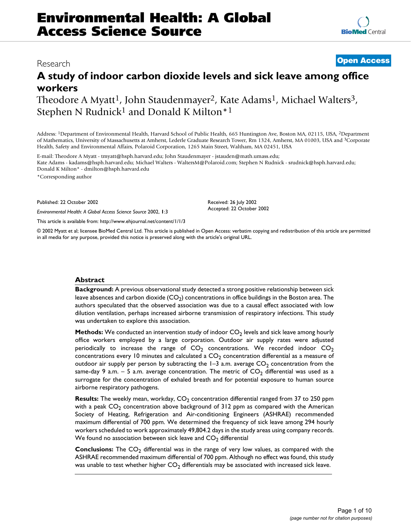# Environmental Health: A Gl 2002, 1 obal Access Science Source <sup>x</sup> **[Open Access](http://www.biomedcentral.com/info/about/charter/)** Research **A study of indoor carbon dioxide levels and sick leave among office**

**workers** Theodore A Myatt<sup>1</sup>, John Staudenmayer<sup>2</sup>, Kate Adams<sup>1</sup>, Michael Walters<sup>3</sup>, Stephen N Rudnick<sup>1</sup> and Donald K Milton<sup>\*1</sup>

Address: 1Department of Environmental Health, Harvard School of Public Health, 665 Huntington Ave, Boston MA, 02115, USA, 2Department of Mathematics, University of Massachusetts at Amherst, Lederle Graduate Research Tower, Rm 1324, Amherst, MA 01003, USA and 3Corporate Health, Safety and Environmental Affairs, Polaroid Corporation, 1265 Main Street, Waltham, MA 02451, USA

E-mail: Theodore A Myatt - tmyatt@hsph.harvard.edu; John Staudenmayer - jstauden@math.umass.edu; Kate Adams - kadams@hsph.harvard.edu; Michael Walters - WaltersM@Polaroid.com; Stephen N Rudnick - srudnick@hsph.harvard.edu; Donald K Milton\* - dmilton@hsph.harvard.edu

\*Corresponding author

Published: 22 October 2002

*Environmental Health: A Global Access Science Source* 2002, **1**:3

[This article is available from: http://www.ehjournal.net/content/1/1/3](http://www.ehjournal.net/content/1/1/3)

Received: 26 July 2002 Accepted: 22 October 2002

© 2002 Myatt et al; licensee BioMed Central Ltd. This article is published in Open Access: verbatim copying and redistribution of this article are permitted in all media for any purpose, provided this notice is preserved along with the article's original URL.

### **Abstract**

**Background:** A previous observational study detected a strong positive relationship between sick leave absences and carbon dioxide  $(CO<sub>2</sub>)$  concentrations in office buildings in the Boston area. The authors speculated that the observed association was due to a causal effect associated with low dilution ventilation, perhaps increased airborne transmission of respiratory infections. This study was undertaken to explore this association.

**Methods:** We conducted an intervention study of indoor CO<sub>2</sub> levels and sick leave among hourly office workers employed by a large corporation. Outdoor air supply rates were adjusted periodically to increase the range of  $CO<sub>2</sub>$  concentrations. We recorded indoor  $CO<sub>2</sub>$ concentrations every 10 minutes and calculated a  $CO<sub>2</sub>$  concentration differential as a measure of outdoor air supply per person by subtracting the  $1-3$  a.m. average  $CO<sub>2</sub>$  concentration from the same-day 9 a.m. - 5 a.m. average concentration. The metric of  $CO<sub>2</sub>$  differential was used as a surrogate for the concentration of exhaled breath and for potential exposure to human source airborne respiratory pathogens.

**Results:** The weekly mean, workday, CO<sub>2</sub> concentration differential ranged from 37 to 250 ppm with a peak  $CO<sub>2</sub>$  concentration above background of 312 ppm as compared with the American Society of Heating, Refrigeration and Air-conditioning Engineers (ASHRAE) recommended maximum differential of 700 ppm. We determined the frequency of sick leave among 294 hourly workers scheduled to work approximately 49,804.2 days in the study areas using company records. We found no association between sick leave and  $CO<sub>2</sub>$  differential

**Conclusions:** The CO<sub>2</sub> differential was in the range of very low values, as compared with the ASHRAE recommended maximum differential of 700 ppm. Although no effect was found, this study was unable to test whether higher  $CO<sub>2</sub>$  differentials may be associated with increased sick leave.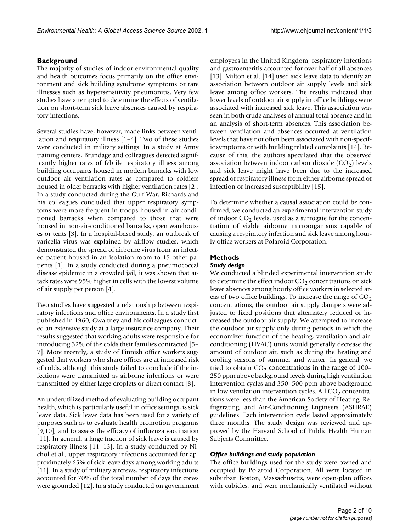# **Background**

The majority of studies of indoor environmental quality and health outcomes focus primarily on the office environment and sick building syndrome symptoms or rare illnesses such as hypersensitivity pneumonitis. Very few studies have attempted to determine the effects of ventilation on short-term sick leave absences caused by respiratory infections.

Several studies have, however, made links between ventilation and respiratory illness [1–4]. Two of these studies were conducted in military settings. In a study at Army training centers, Brundage and colleagues detected significantly higher rates of febrile respiratory illness among building occupants housed in modern barracks with low outdoor air ventilation rates as compared to soldiers housed in older barracks with higher ventilation rates [2]. In a study conducted during the Gulf War, Richards and his colleagues concluded that upper respiratory symptoms were more frequent in troops housed in air-conditioned barracks when compared to those that were housed in non-air-conditioned barracks, open warehouses or tents [3]. In a hospital-based study, an outbreak of varicella virus was explained by airflow studies, which demonstrated the spread of airborne virus from an infected patient housed in an isolation room to 15 other patients [1]. In a study conducted during a pneumococcal disease epidemic in a crowded jail, it was shown that attack rates were 95% higher in cells with the lowest volume of air supply per person [4].

Two studies have suggested a relationship between respiratory infections and office environments. In a study first published in 1960, Gwaltney and his colleagues conducted an extensive study at a large insurance company. Their results suggested that working adults were responsible for introducing 32% of the colds their families contracted [5– 7]. More recently, a study of Finnish office workers suggested that workers who share offices are at increased risk of colds, although this study failed to conclude if the infections were transmitted as airborne infections or were transmitted by either large droplets or direct contact [8].

An underutilized method of evaluating building occupant health, which is particularly useful in office settings, is sick leave data. Sick leave data has been used for a variety of purposes such as to evaluate health promotion programs [9,10], and to assess the efficacy of influenza vaccination [11]. In general, a large fraction of sick leave is caused by respiratory illness [11–13]. In a study conducted by Nichol et al., upper respiratory infections accounted for approximately 65% of sick leave days among working adults [11]. In a study of military aircrews, respiratory infections accounted for 70% of the total number of days the crews were grounded [12]. In a study conducted on government employees in the United Kingdom, respiratory infections and gastroenteritis accounted for over half of all absences [13]. Milton et al. [14] used sick leave data to identify an association between outdoor air supply levels and sick leave among office workers. The results indicated that lower levels of outdoor air supply in office buildings were associated with increased sick leave. This association was seen in both crude analyses of annual total absence and in an analysis of short-term absences. This association between ventilation and absences occurred at ventilation levels that have not often been associated with non-specific symptoms or with building related complaints [14]. Because of this, the authors speculated that the observed association between indoor carbon dioxide  $(CO<sub>2</sub>)$  levels and sick leave might have been due to the increased spread of respiratory illness from either airborne spread of infection or increased susceptibility [15].

To determine whether a causal association could be confirmed, we conducted an experimental intervention study of indoor  $CO<sub>2</sub>$  levels, used as a surrogate for the concentration of viable airborne microorganisms capable of causing a respiratory infection and sick leave among hourly office workers at Polaroid Corporation.

# **Methods**

# *Study design*

We conducted a blinded experimental intervention study to determine the effect indoor  $CO<sub>2</sub>$  concentrations on sick leave absences among hourly office workers in selected areas of two office buildings. To increase the range of  $CO<sub>2</sub>$ concentrations, the outdoor air supply dampers were adjusted to fixed positions that alternately reduced or increased the outdoor air supply. We attempted to increase the outdoor air supply only during periods in which the economizer function of the heating, ventilation and airconditioning (HVAC) units would generally decrease the amount of outdoor air, such as during the heating and cooling seasons of summer and winter. In general, we tried to obtain  $CO<sub>2</sub>$  concentrations in the range of 100– 250 ppm above background levels during high ventilation intervention cycles and 350–500 ppm above background in low ventilation intervention cycles. All  $CO<sub>2</sub>$  concentrations were less than the American Society of Heating, Refrigerating, and Air-Conditioning Engineers (ASHRAE) guidelines. Each intervention cycle lasted approximately three months. The study design was reviewed and approved by the Harvard School of Public Health Human Subjects Committee.

# *Office buildings and study population*

The office buildings used for the study were owned and occupied by Polaroid Corporation. All were located in suburban Boston, Massachusetts, were open-plan offices with cubicles, and were mechanically ventilated without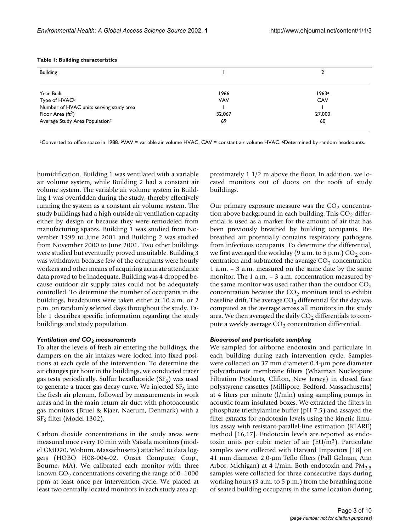| Table 1: Building characteristics |  |
|-----------------------------------|--|
|-----------------------------------|--|

| <b>Building</b>                            |            |        |
|--------------------------------------------|------------|--------|
| Year Built                                 | 1966       | 1963a  |
| Type of HVAC <sup>b</sup>                  | <b>VAV</b> | CAV    |
| Number of HVAC units serving study area    |            |        |
| Floor Area $(\text{ft}^2)$                 | 32,067     | 27,000 |
| Average Study Area Population <sup>c</sup> | 69         | 60     |

aConverted to office space in 1988. bVAV = variable air volume HVAC, CAV = constant air volume HVAC. <Determined by random headcounts.

humidification. Building 1 was ventilated with a variable air volume system, while Building 2 had a constant air volume system. The variable air volume system in Building 1 was overridden during the study, thereby effectively running the system as a constant air volume system. The study buildings had a high outside air ventilation capacity either by design or because they were remodeled from manufacturing spaces. Building 1 was studied from November 1999 to June 2001 and Building 2 was studied from November 2000 to June 2001. Two other buildings were studied but eventually proved unsuitable. Building 3 was withdrawn because few of the occupants were hourly workers and other means of acquiring accurate attendance data proved to be inadequate. Building was 4 dropped because outdoor air supply rates could not be adequately controlled. To determine the number of occupants in the buildings, headcounts were taken either at 10 a.m. or 2 p.m. on randomly selected days throughout the study. Table 1 describes specific information regarding the study buildings and study population.

# *Ventilation and CO2 measurements*

To alter the levels of fresh air entering the buildings, the dampers on the air intakes were locked into fixed positions at each cycle of the intervention. To determine the air changes per hour in the buildings, we conducted tracer gas tests periodically. Sulfur hexafluoride  $(SF_6)$  was used to generate a tracer gas decay curve. We injected  $SF<sub>6</sub>$  into the fresh air plenum, followed by measurements in work areas and in the main return air duct with photoacoustic gas monitors (Bruel & Kjaer, Naerum, Denmark) with a  $SF<sub>6</sub>$  filter (Model 1302).

Carbon dioxide concentrations in the study areas were measured once every 10 min with Vaisala monitors (model GMD20, Woburn, Massachusetts) attached to data loggers (HOBO H08-004-02, Onset Computer Corp., Bourne, MA). We calibrated each monitor with three known  $CO<sub>2</sub>$  concentrations covering the range of 0–1000 ppm at least once per intervention cycle. We placed at least two centrally located monitors in each study area approximately 1 1/2 m above the floor. In addition, we located monitors out of doors on the roofs of study buildings.

<span id="page-2-0"></span>Our primary exposure measure was the  $CO<sub>2</sub>$  concentration above background in each building. This  $CO<sub>2</sub>$  differential is used as a marker for the amount of air that has been previously breathed by building occupants. Rebreathed air potentially contains respiratory pathogens from infectious occupants. To determine the differential, we first averaged the workday (9 a.m. to 5 p.m.)  $CO_2$  concentration and subtracted the average  $CO<sub>2</sub>$  concentration 1 a.m. – 3 a.m. measured on the same date by the same monitor. The 1 a.m. – 3 a.m. concentration measured by the same monitor was used rather than the outdoor  $CO<sub>2</sub>$ concentration because the  $CO_2$  monitors tend to exhibit baseline drift. The average  $CO<sub>2</sub>$  differential for the day was computed as the average across all monitors in the study area. We then averaged the daily  $CO<sub>2</sub>$  differentials to compute a weekly average  $CO<sub>2</sub>$  concentration differential.

### *Bioaerosol and particulate sampling*

We sampled for airborne endotoxin and particulate in each building during each intervention cycle. Samples were collected on 37 mm diameter 0.4-µm pore diameter polycarbonate membrane filters (Whatman Nucleopore Filtration Products, Clifton, New Jersey) in closed face polystyrene cassettes (Millipore, Bedford, Massachusetts) at 4 liters per minute (l/min) using sampling pumps in acoustic foam insulated boxes. We extracted the filters in phosphate triethylamine buffer (pH 7.5) and assayed the filter extracts for endotoxin levels using the kinetic limulus assay with resistant-parallel-line estimation (KLARE) method [16,17]. Endotoxin levels are reported as endotoxin units per cubic meter of air  $(EU/m<sup>3</sup>)$ . Particulate samples were collected with Harvard Impactors [18] on 41 mm diameter 2.0-µm Teflo filters (Pall Gelman, Ann Arbor, Michigan) at 4 l/min. Both endotoxin and  $PM_{2.5}$ samples were collected for three consecutive days during working hours (9 a.m. to 5 p.m.) from the breathing zone of seated building occupants in the same location during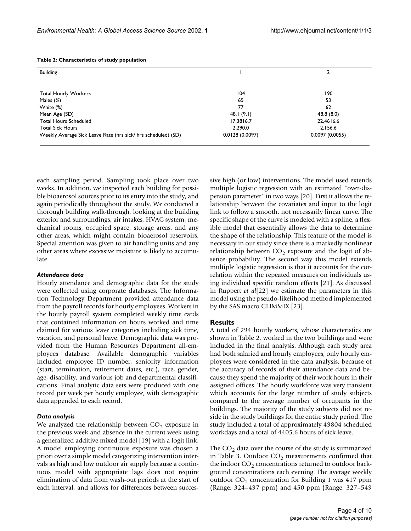| <b>Building</b>                                               |                |                |
|---------------------------------------------------------------|----------------|----------------|
| <b>Total Hourly Workers</b>                                   | 104            | 190            |
| Males $(\%)$                                                  | 65             | 53             |
| White (%)                                                     | 77             | 62             |
| Mean Age (SD)                                                 | 48.1 $(9.1)$   | 48.8 (8.0)     |
| <b>Total Hours Scheduled</b>                                  | 17,3816.7      | 22,4616.6      |
| <b>Total Sick Hours</b>                                       | 2,290.0        | 2,156.6        |
| Weekly Average Sick Leave Rate (hrs sick/ hrs scheduled) (SD) | 0.0128(0.0097) | 0.0097(0.0055) |
|                                                               |                |                |

#### **Table 2: Characteristics of study population**

each sampling period. Sampling took place over two weeks. In addition, we inspected each building for possible bioaerosol sources prior to its entry into the study, and again periodically throughout the study. We conducted a thorough building walk-through, looking at the building exterior and surroundings, air intakes, HVAC system, mechanical rooms, occupied space, storage areas, and any other areas, which might contain bioaerosol reservoirs. Special attention was given to air handling units and any other areas where excessive moisture is likely to accumulate.

#### *Attendance data*

Hourly attendance and demographic data for the study were collected using corporate databases. The Information Technology Department provided attendance data from the payroll records for hourly employees. Workers in the hourly payroll system completed weekly time cards that contained information on hours worked and time claimed for various leave categories including sick time, vacation, and personal leave. Demographic data was provided from the Human Resources Department all-employees database. Available demographic variables included employee ID number, seniority information (start, termination, retirement dates, etc.), race, gender, age, disability, and various job and departmental classifications. Final analytic data sets were produced with one record per week per hourly employee, with demographic data appended to each record.

#### *Data analysis*

<span id="page-3-0"></span>We analyzed the relationship between  $CO<sub>2</sub>$  exposure in the previous week and absence in the current week using a generalized additive mixed model [19] with a logit link. A model employing continuous exposure was chosen a priori over a simple model categorizing intervention intervals as high and low outdoor air supply because a continuous model with appropriate lags does not require elimination of data from wash-out periods at the start of each interval, and allows for differences between successive high (or low) interventions. The model used extends multiple logistic regression with an estimated "over-dispersion parameter" in two ways [20]. First it allows the relationship between the covariates and input to the logit link to follow a smooth, not necessarily linear curve. The specific shape of the curve is modeled with a spline, a flexible model that essentially allows the data to determine the shape of the relationship. This feature of the model is necessary in our study since there is a markedly nonlinear relationship between  $CO<sub>2</sub>$  exposure and the logit of absence probability. The second way this model extends multiple logistic regression is that it accounts for the correlation within the repeated measures on individuals using individual specific random effects [21]. As discussed in Ruppert *et al*[22] we estimate the parameters in this model using the pseudo-likelihood method implemented by the SAS macro GLIMMIX [23].

#### **Results**

A total of 294 hourly workers, whose characteristics are shown in Table [2,](#page-2-0) worked in the two buildings and were included in the final analysis. Although each study area had both salaried and hourly employees, only hourly employees were considered in the data analysis, because of the accuracy of records of their attendance data and because they spend the majority of their work hours in their assigned offices. The hourly workforce was very transient which accounts for the large number of study subjects compared to the average number of occupants in the buildings. The majority of the study subjects did not reside in the study buildings for the entire study period. The study included a total of approximately 49804 scheduled workdays and a total of 4405.6 hours of sick leave.

The  $CO<sub>2</sub>$  data over the course of the study is summarized in Table [3](#page-3-0). Outdoor  $CO<sub>2</sub>$  measurements confirmed that the indoor  $CO<sub>2</sub>$  concentrations returned to outdoor background concentrations each evening. The average weekly outdoor  $CO<sub>2</sub>$  concentration for Building 1 was 417 ppm (Range: 324–497 ppm) and 450 ppm (Range: 327–549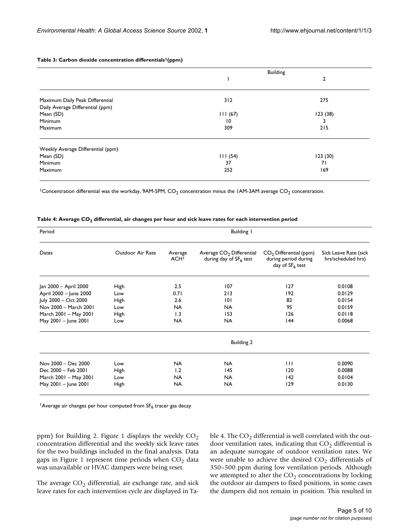|                                   |                 | <b>Building</b> |
|-----------------------------------|-----------------|-----------------|
|                                   |                 | $\mathbf{2}$    |
| Maximum Daily Peak Differential   | 312             | 275             |
| Daily Average Differential (ppm)  |                 |                 |
| Mean (SD)                         | 111(67)         | 123(38)         |
| Minimum                           | $\overline{10}$ | ٦               |
| Maximum                           | 309             | 215             |
| Weekly Average Differential (ppm) |                 |                 |
| Mean (SD)                         | 111(54)         | 123(30)         |
| Minimum                           | 37              | 71              |
| Maximum                           | 252             | 169             |

#### Table 3: Carbon dioxide concentration differentials<sup>1</sup>(ppm)

<sup>1</sup>Concentration differential was the workday, 9AM-5PM, CO<sub>2</sub> concentration minus the IAM-3AM average CO<sub>2</sub> concentration.

| Period                 |                  |                             | Building I                                                       |                                                                                 |                                             |
|------------------------|------------------|-----------------------------|------------------------------------------------------------------|---------------------------------------------------------------------------------|---------------------------------------------|
| Dates                  | Outdoor Air Rate | Average<br>ACH <sup>I</sup> | Average $CO2$ Differential<br>during day of SF <sub>6</sub> test | $CO2$ Differential (ppm)<br>during period during<br>day of SF <sub>6</sub> test | Sick Leave Rate (sick<br>hrs/scheduled hrs) |
| Jan 2000 - April 2000  | High             | 2.5                         | 107                                                              | 127                                                                             | 0.0108                                      |
| April 2000 - June 2000 | Low              | 0.71                        | 213                                                              | 192                                                                             | 0.0129                                      |
| July 2000 - Oct 2000   | High             | 2.6                         | 0                                                                | 82                                                                              | 0.0154                                      |
| Nov 2000 - March 2001  | Low              | <b>NA</b>                   | <b>NA</b>                                                        | 95                                                                              | 0.0159                                      |
| March 2001 - May 2001  | High             | 1.3                         | 153                                                              | 126                                                                             | 0.0118                                      |
| May 2001 - June 2001   | Low              | <b>NA</b>                   | <b>NA</b>                                                        | 144                                                                             | 0.0068                                      |
|                        |                  |                             | <b>Building 2</b>                                                |                                                                                 |                                             |
| Nov 2000 - Dec 2000    | Low              | <b>NA</b>                   | <b>NA</b>                                                        | $\mathbf{H}$                                                                    | 0.0090                                      |
| Dec 2000 - Feb 2001    | High             | 1.2                         | 145                                                              | 120                                                                             | 0.0088                                      |
| March 2001 - May 2001  | Low              | <b>NA</b>                   | <b>NA</b>                                                        | 142                                                                             | 0.0104                                      |
| May 2001 - June 2001   | High             | <b>NA</b>                   | <b>NA</b>                                                        | 129                                                                             | 0.0130                                      |

#### Table 4: Average CO<sub>2</sub> differential, air changes per hour and sick leave rates for each intervention period

<sup>1</sup> Average air changes per hour computed from  $SF_6$  tracer gas decay

ppm) for Building 2. Figure 1 displays the weekly  $CO<sub>2</sub>$ concentration differential and the weekly sick leave rates for the two buildings included in the final analysis. Data gaps in Figure 1 represent time periods when  $CO<sub>2</sub>$  data was unavailable or HVAC dampers were being reset.

<span id="page-4-0"></span>The average  $CO<sub>2</sub>$  differential, air exchange rate, and sick leave rates for each intervention cycle are displayed in Table [4.](#page-3-0) The  $CO<sub>2</sub>$  differential is well correlated with the outdoor ventilation rates, indicating that  $CO<sub>2</sub>$  differential is an adequate surrogate of outdoor ventilation rates. We were unable to achieve the desired  $CO<sub>2</sub>$  differentials of 350–500 ppm during low ventilation periods. Although we attempted to alter the  $CO<sub>2</sub>$  concentrations by locking the outdoor air dampers to fixed positions, in some cases the dampers did not remain in position. This resulted in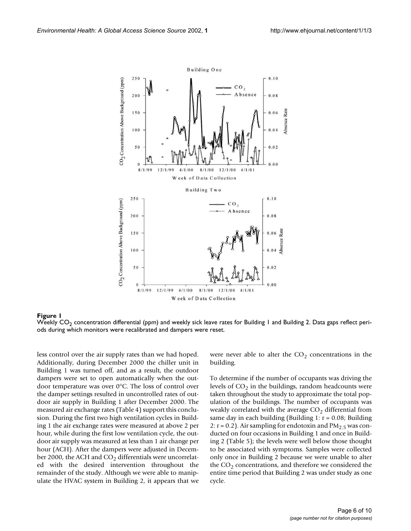

#### **Figure 1**

Weekly CO<sub>2</sub> concentration differential (ppm) and weekly sick leave rates for Building 1 and Building 2. Data gaps reflect periods during which monitors were recalibrated and dampers were reset.

less control over the air supply rates than we had hoped. Additionally, during December 2000 the chiller unit in Building 1 was turned off, and as a result, the outdoor dampers were set to open automatically when the outdoor temperature was over 0°C. The loss of control over the damper settings resulted in uncontrolled rates of outdoor air supply in Building 1 after December 2000. The measured air exchange rates (Table [4](#page-3-0)) support this conclusion. During the first two high ventilation cycles in Building 1 the air exchange rates were measured at above 2 per hour, while during the first low ventilation cycle, the outdoor air supply was measured at less than 1 air change per hour (ACH). After the dampers were adjusted in December 2000, the ACH and  $CO<sub>2</sub>$  differentials were uncorrelated with the desired intervention throughout the remainder of the study. Although we were able to manipulate the HVAC system in Building 2, it appears that we

were never able to alter the  $CO<sub>2</sub>$  concentrations in the building.

To determine if the number of occupants was driving the levels of  $CO<sub>2</sub>$  in the buildings, random headcounts were taken throughout the study to approximate the total population of the buildings. The number of occupants was weakly correlated with the average  $CO<sub>2</sub>$  differential from same day in each building (Building  $1: r = 0.08$ ; Building 2:  $r = 0.2$ ). Air sampling for endotoxin and PM<sub>2.5</sub> was conducted on four occasions in Building 1 and once in Building 2 (Table [5](#page-4-0)); the levels were well below those thought to be associated with symptoms. Samples were collected only once in Building 2 because we were unable to alter the  $CO<sub>2</sub>$  concentrations, and therefore we considered the entire time period that Building 2 was under study as one cycle.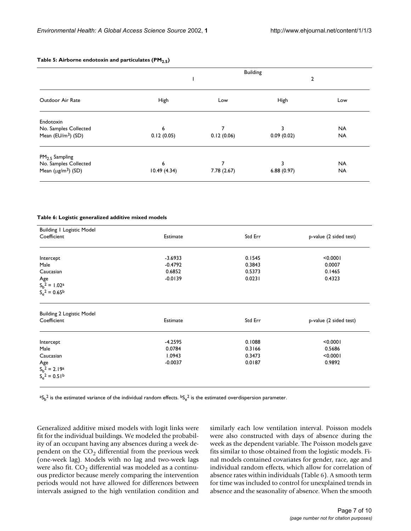|                                                                      |                  |                 | <b>Building</b><br>2 |                        |
|----------------------------------------------------------------------|------------------|-----------------|----------------------|------------------------|
| Outdoor Air Rate                                                     | High             | Low             | High                 | Low                    |
| Endotoxin<br>No. Samples Collected<br>Mean $(EU/m^3)$ (SD)           | 6<br>0.12(0.05)  | 7<br>0.12(0.06) | 3<br>0.09(0.02)      | <b>NA</b><br><b>NA</b> |
| $PM2.5$ Sampling<br>No. Samples Collected<br>Mean $(\mu g/m^3)$ (SD) | 6<br>10.49(4.34) | 7.78(2.67)      | 3<br>6.88(0.97)      | <b>NA</b><br><b>NA</b> |

### Table 5: Airborne endotoxin and particulates (PM<sub>2.5</sub>)

#### **Table 6: Logistic generalized additive mixed models**

| <b>Building I Logistic Model</b> |           |         |                        |
|----------------------------------|-----------|---------|------------------------|
| Coefficient                      | Estimate  | Std Err | p-value (2 sided test) |
| Intercept                        | $-3.6933$ | 0.1545  | < 0.0001               |
| Male                             | $-0.4792$ | 0.3843  | 0.0007                 |
| Caucasian                        | 0.6852    | 0.5373  | 0.1465                 |
|                                  |           |         |                        |
| Age                              | $-0.0139$ | 0.0231  | 0.4323                 |
| $S_b^2 = 1.02^a$                 |           |         |                        |
| $S_e^2 = 0.65^b$                 |           |         |                        |
| <b>Building 2 Logistic Model</b> |           |         |                        |
| Coefficient                      | Estimate  | Std Err | p-value (2 sided test) |
| Intercept                        | $-4.2595$ | 0.1088  | < 0.0001               |
| Male                             | 0.0784    | 0.3166  | 0.5686                 |
| Caucasian                        | 1.0943    | 0.3473  | < 0.0001               |
| Age                              | $-0.0037$ | 0.0187  | 0.9892                 |
| $S_b^2 = 2.19^a$                 |           |         |                        |
|                                  |           |         |                        |
| $S_e^2 = 0.51^b$                 |           |         |                        |

 $^aS_b^{\phantom{b}2}$  is the estimated variance of the individual random effects.  $^bS_e^{\phantom{b}2}$  is the estimated overdispersion parameter.

Generalized additive mixed models with logit links were fit for the individual buildings. We modeled the probability of an occupant having any absences during a week dependent on the  $CO<sub>2</sub>$  differential from the previous week (one-week lag). Models with no lag and two-week lags were also fit.  $CO<sub>2</sub>$  differential was modeled as a continuous predictor because merely comparing the intervention periods would not have allowed for differences between intervals assigned to the high ventilation condition and

similarly each low ventilation interval. Poisson models were also constructed with days of absence during the week as the dependent variable. The Poisson models gave fits similar to those obtained from the logistic models. Final models contained covariates for gender, race, age and individual random effects, which allow for correlation of absence rates within individuals (Table [6](#page-4-0)). A smooth term for time was included to control for unexplained trends in absence and the seasonality of absence. When the smooth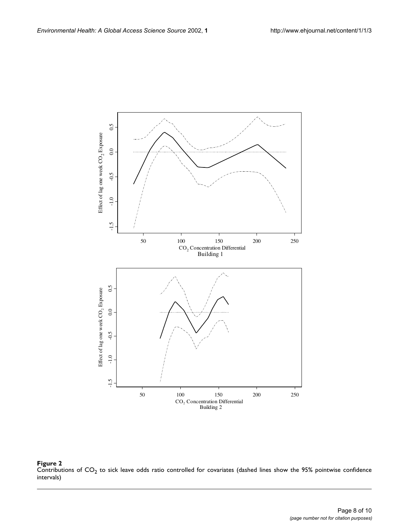

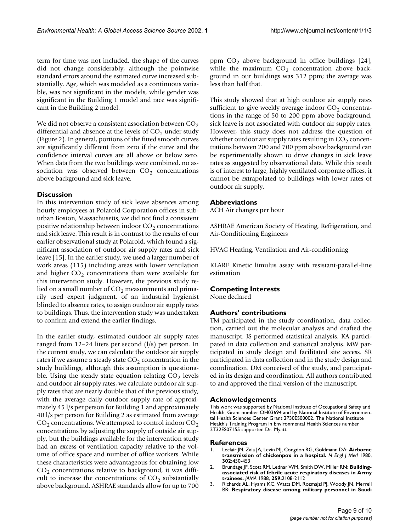term for time was not included, the shape of the curves did not change considerably, although the pointwise standard errors around the estimated curve increased substantially. Age, which was modeled as a continuous variable, was not significant in the models, while gender was significant in the Building 1 model and race was significant in the Building 2 model.

We did not observe a consistent association between  $CO<sub>2</sub>$ differential and absence at the levels of  $CO<sub>2</sub>$  under study (Figure 2). In general, portions of the fitted smooth curves are significantly different from zero if the curve and the confidence interval curves are all above or below zero. When data from the two buildings were combined, no association was observed between  $CO<sub>2</sub>$  concentrations above background and sick leave.

# **Discussion**

In this intervention study of sick leave absences among hourly employees at Polaroid Corporation offices in suburban Boston, Massachusetts, we did not find a consistent positive relationship between indoor  $CO<sub>2</sub>$  concentrations and sick leave. This result is in contrast to the results of our earlier observational study at Polaroid, which found a significant association of outdoor air supply rates and sick leave [15]. In the earlier study, we used a larger number of work areas (115) including areas with lower ventilation and higher  $CO<sub>2</sub>$  concentrations than were available for this intervention study. However, the previous study relied on a small number of  $CO<sub>2</sub>$  measurements and primarily used expert judgment, of an industrial hygienist blinded to absence rates, to assign outdoor air supply rates to buildings. Thus, the intervention study was undertaken to confirm and extend the earlier findings.

In the earlier study, estimated outdoor air supply rates ranged from 12–24 liters per second (l/s) per person. In the current study, we can calculate the outdoor air supply rates if we assume a steady state  $CO<sub>2</sub>$  concentration in the study buildings, although this assumption is questionable. Using the steady state equation relating  $CO<sub>2</sub>$  levels and outdoor air supply rates, we calculate outdoor air supply rates that are nearly double that of the previous study, with the average daily outdoor supply rate of approximately 45 l/s per person for Building 1 and approximately 40 l/s per person for Building 2 as estimated from average  $CO<sub>2</sub>$  concentrations. We attempted to control indoor  $CO<sub>2</sub>$ concentrations by adjusting the supply of outside air supply, but the buildings available for the intervention study had an excess of ventilation capacity relative to the volume of office space and number of office workers. While these characteristics were advantageous for obtaining low  $CO<sub>2</sub>$  concentrations relative to background, it was difficult to increase the concentrations of  $CO<sub>2</sub>$  substantially above background. ASHRAE standards allow for up to 700

ppm  $CO_2$  above background in office buildings [24], while the maximum  $CO<sub>2</sub>$  concentration above background in our buildings was 312 ppm; the average was less than half that.

This study showed that at high outdoor air supply rates sufficient to give weekly average indoor  $CO<sub>2</sub>$  concentrations in the range of 50 to 200 ppm above background, sick leave is not associated with outdoor air supply rates. However, this study does not address the question of whether outdoor air supply rates resulting in  $CO<sub>2</sub>$  concentrations between 200 and 700 ppm above background can be experimentally shown to drive changes in sick leave rates as suggested by observational data. While this result is of interest to large, highly ventilated corporate offices, it cannot be extrapolated to buildings with lower rates of outdoor air supply.

# **Abbreviations**

ACH Air changes per hour

ASHRAE American Society of Heating, Refrigeration, and Air-Conditioning Engineers

HVAC Heating, Ventilation and Air-conditioning

KLARE Kinetic limulus assay with resistant-parallel-line estimation

### **Competing Interests**

None declared

# **Authors' contributions**

TM participated in the study coordination, data collection, carried out the molecular analysis and drafted the manuscript. JS performed statistical analysis. KA participated in data collection and statistical analysis. MW participated in study design and facilitated site access. SR participated in data collection and in the study design and coordination. DM conceived of the study, and participated in its design and coordination. All authors contributed to and approved the final version of the manuscript.

### **Acknowledgements**

This work was supported by National Institute of Occupational Safety and Health, Grant number OH03694 and by National Institute of Environmental Health Sciences Center Grant 2P30ES00002. The National Institute Health's Training Program in Environmental Health Sciences number 2T32ES07155 supported Dr. Myatt.

#### **References**

- 1. [Leclair JM, Zaia JA, Levin MJ, Congdon RG, Goldmann DA:](http://www.ncbi.nlm.nih.gov/entrez/query.fcgi?cmd=Retrieve&db=PubMed&dopt=Abstract&list_uids=7351951) **[Airborne](http://www.ncbi.nlm.nih.gov/entrez/query.fcgi?cmd=Retrieve&db=PubMed&dopt=Abstract&list_uids=7351951) [transmission of chickenpox in a hospital.](http://www.ncbi.nlm.nih.gov/entrez/query.fcgi?cmd=Retrieve&db=PubMed&dopt=Abstract&list_uids=7351951)** *N Engl J Med* 1980, **302:**450-453
- 2. [Brundage JF, Scott RM, Lednar WM, Smith DW, Miller RN:](http://www.ncbi.nlm.nih.gov/entrez/query.fcgi?cmd=Retrieve&db=PubMed&dopt=Abstract&list_uids=3346987) **[Building](http://www.ncbi.nlm.nih.gov/entrez/query.fcgi?cmd=Retrieve&db=PubMed&dopt=Abstract&list_uids=3346987)[associated risk of febrile acute respiratory diseases in Army](http://www.ncbi.nlm.nih.gov/entrez/query.fcgi?cmd=Retrieve&db=PubMed&dopt=Abstract&list_uids=3346987) [trainees.](http://www.ncbi.nlm.nih.gov/entrez/query.fcgi?cmd=Retrieve&db=PubMed&dopt=Abstract&list_uids=3346987)** *JAMA* 1988, **259:**2108-2112
- 3. [Richards AL, Hyams KC, Watts DM, Rozmajzl PJ, Woody JN, Merrell](http://www.ncbi.nlm.nih.gov/entrez/query.fcgi?cmd=Retrieve&db=PubMed&dopt=Abstract&list_uids=8363011) [BR:](http://www.ncbi.nlm.nih.gov/entrez/query.fcgi?cmd=Retrieve&db=PubMed&dopt=Abstract&list_uids=8363011) **[Respiratory disease among military personnel in Saudi](http://www.ncbi.nlm.nih.gov/entrez/query.fcgi?cmd=Retrieve&db=PubMed&dopt=Abstract&list_uids=8363011)**